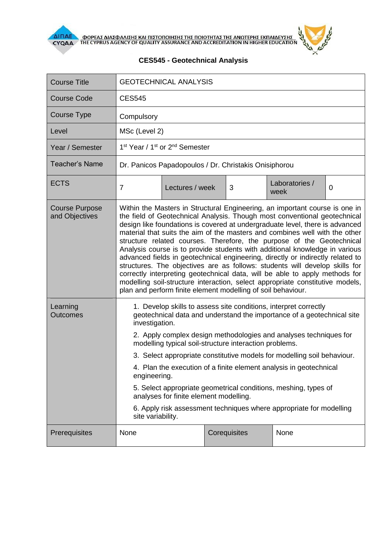

**AIFIAE OOPEAE AIAE DATE KAI HIETOHOIHEHE THE HOIOTHTAE THE ANOTEPHE EKHAIAEYEHE** 



## **CES545 - Geotechnical Analysis**

| <b>Course Title</b>                     | <b>GEOTECHNICAL ANALYSIS</b>                                                                                                                                                                                                                                                                                                                                                                                                                                                                                                                                                                                                                                                                                                                                                                                                                                                     |                 |  |   |                        |          |  |  |  |
|-----------------------------------------|----------------------------------------------------------------------------------------------------------------------------------------------------------------------------------------------------------------------------------------------------------------------------------------------------------------------------------------------------------------------------------------------------------------------------------------------------------------------------------------------------------------------------------------------------------------------------------------------------------------------------------------------------------------------------------------------------------------------------------------------------------------------------------------------------------------------------------------------------------------------------------|-----------------|--|---|------------------------|----------|--|--|--|
| <b>Course Code</b>                      | <b>CES545</b>                                                                                                                                                                                                                                                                                                                                                                                                                                                                                                                                                                                                                                                                                                                                                                                                                                                                    |                 |  |   |                        |          |  |  |  |
| Course Type                             | Compulsory                                                                                                                                                                                                                                                                                                                                                                                                                                                                                                                                                                                                                                                                                                                                                                                                                                                                       |                 |  |   |                        |          |  |  |  |
| Level                                   | MSc (Level 2)                                                                                                                                                                                                                                                                                                                                                                                                                                                                                                                                                                                                                                                                                                                                                                                                                                                                    |                 |  |   |                        |          |  |  |  |
| Year / Semester                         | 1 <sup>st</sup> Year / 1 <sup>st</sup> or 2 <sup>nd</sup> Semester                                                                                                                                                                                                                                                                                                                                                                                                                                                                                                                                                                                                                                                                                                                                                                                                               |                 |  |   |                        |          |  |  |  |
| <b>Teacher's Name</b>                   | Dr. Panicos Papadopoulos / Dr. Christakis Onisiphorou                                                                                                                                                                                                                                                                                                                                                                                                                                                                                                                                                                                                                                                                                                                                                                                                                            |                 |  |   |                        |          |  |  |  |
| <b>ECTS</b>                             | $\overline{7}$                                                                                                                                                                                                                                                                                                                                                                                                                                                                                                                                                                                                                                                                                                                                                                                                                                                                   | Lectures / week |  | 3 | Laboratories /<br>week | $\Omega$ |  |  |  |
| <b>Course Purpose</b><br>and Objectives | Within the Masters in Structural Engineering, an important course is one in<br>the field of Geotechnical Analysis. Though most conventional geotechnical<br>design like foundations is covered at undergraduate level, there is advanced<br>material that suits the aim of the masters and combines well with the other<br>structure related courses. Therefore, the purpose of the Geotechnical<br>Analysis course is to provide students with additional knowledge in various<br>advanced fields in geotechnical engineering, directly or indirectly related to<br>structures. The objectives are as follows: students will develop skills for<br>correctly interpreting geotechnical data, will be able to apply methods for<br>modelling soil-structure interaction, select appropriate constitutive models,<br>plan and perform finite element modelling of soil behaviour. |                 |  |   |                        |          |  |  |  |
| Learning<br><b>Outcomes</b>             | 1. Develop skills to assess site conditions, interpret correctly<br>geotechnical data and understand the importance of a geotechnical site<br>investigation.<br>2. Apply complex design methodologies and analyses techniques for<br>modelling typical soil-structure interaction problems.<br>3. Select appropriate constitutive models for modelling soil behaviour.<br>4. Plan the execution of a finite element analysis in geotechnical<br>engineering.<br>5. Select appropriate geometrical conditions, meshing, types of<br>analyses for finite element modelling.<br>6. Apply risk assessment techniques where appropriate for modelling<br>site variability.                                                                                                                                                                                                            |                 |  |   |                        |          |  |  |  |
| Prerequisites                           | None<br>Corequisites<br>None                                                                                                                                                                                                                                                                                                                                                                                                                                                                                                                                                                                                                                                                                                                                                                                                                                                     |                 |  |   |                        |          |  |  |  |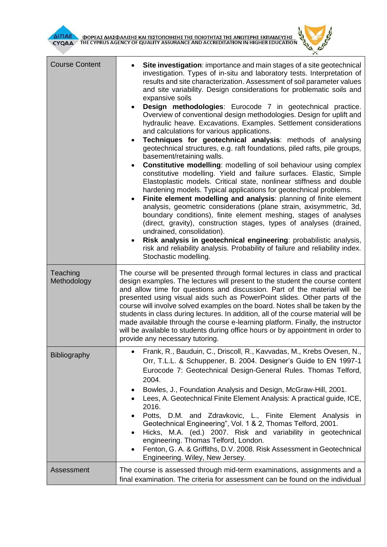

| <b>Course Content</b>   | Site investigation: importance and main stages of a site geotechnical<br>investigation. Types of in-situ and laboratory tests. Interpretation of<br>results and site characterization. Assessment of soil parameter values<br>and site variability. Design considerations for problematic soils and<br>expansive soils<br>Design methodologies: Eurocode 7 in geotechnical practice.<br>Overview of conventional design methodologies. Design for uplift and<br>hydraulic heave. Excavations. Examples. Settlement considerations<br>and calculations for various applications.<br>Techniques for geotechnical analysis: methods of analysing<br>geotechnical structures, e.g. raft foundations, piled rafts, pile groups,<br>basement/retaining walls.<br><b>Constitutive modelling:</b> modelling of soil behaviour using complex<br>٠<br>constitutive modelling. Yield and failure surfaces. Elastic, Simple<br>Elastoplastic models. Critical state, nonlinear stiffness and double<br>hardening models. Typical applications for geotechnical problems.<br>Finite element modelling and analysis: planning of finite element<br>analysis, geometric considerations (plane strain, axisymmetric, 3d,<br>boundary conditions), finite element meshing, stages of analyses<br>(direct, gravity), construction stages, types of analyses (drained,<br>undrained, consolidation).<br>Risk analysis in geotechnical engineering: probabilistic analysis,<br>$\bullet$<br>risk and reliability analysis. Probability of failure and reliability index.<br>Stochastic modelling. |  |  |  |  |
|-------------------------|-------------------------------------------------------------------------------------------------------------------------------------------------------------------------------------------------------------------------------------------------------------------------------------------------------------------------------------------------------------------------------------------------------------------------------------------------------------------------------------------------------------------------------------------------------------------------------------------------------------------------------------------------------------------------------------------------------------------------------------------------------------------------------------------------------------------------------------------------------------------------------------------------------------------------------------------------------------------------------------------------------------------------------------------------------------------------------------------------------------------------------------------------------------------------------------------------------------------------------------------------------------------------------------------------------------------------------------------------------------------------------------------------------------------------------------------------------------------------------------------------------------------------------------------------------------------------------|--|--|--|--|
| Teaching<br>Methodology | The course will be presented through formal lectures in class and practical<br>design examples. The lectures will present to the student the course content<br>and allow time for questions and discussion. Part of the material will be<br>presented using visual aids such as PowerPoint slides. Other parts of the<br>course will involve solved examples on the board. Notes shall be taken by the<br>students in class during lectures. In addition, all of the course material will be<br>made available through the course e-learning platform. Finally, the instructor<br>will be available to students during office hours or by appointment in order to<br>provide any necessary tutoring.                                                                                                                                                                                                                                                                                                                                                                                                                                                                                                                                                                                                                                                                                                                                                                                                                                                                          |  |  |  |  |
| <b>Bibliography</b>     | Frank, R., Bauduin, C., Driscoll, R., Kavvadas, M., Krebs Ovesen, N.,<br>Orr, T.L.L. & Schuppener, B. 2004. Designer's Guide to EN 1997-1<br>Eurocode 7: Geotechnical Design-General Rules. Thomas Telford,<br>2004.<br>Bowles, J., Foundation Analysis and Design, McGraw-Hill, 2001.<br>Lees, A. Geotechnical Finite Element Analysis: A practical guide, ICE,<br>2016.<br>Potts, D.M. and Zdravkovic, L., Finite Element Analysis in<br>Geotechnical Engineering", Vol. 1 & 2, Thomas Telford, 2001.<br>Hicks, M.A. (ed.) 2007. Risk and variability in geotechnical<br>engineering. Thomas Telford, London.<br>Fenton, G. A. & Griffiths, D.V. 2008. Risk Assessment in Geotechnical<br>Engineering. Wiley, New Jersey.                                                                                                                                                                                                                                                                                                                                                                                                                                                                                                                                                                                                                                                                                                                                                                                                                                                   |  |  |  |  |
| Assessment              | The course is assessed through mid-term examinations, assignments and a<br>final examination. The criteria for assessment can be found on the individual                                                                                                                                                                                                                                                                                                                                                                                                                                                                                                                                                                                                                                                                                                                                                                                                                                                                                                                                                                                                                                                                                                                                                                                                                                                                                                                                                                                                                      |  |  |  |  |